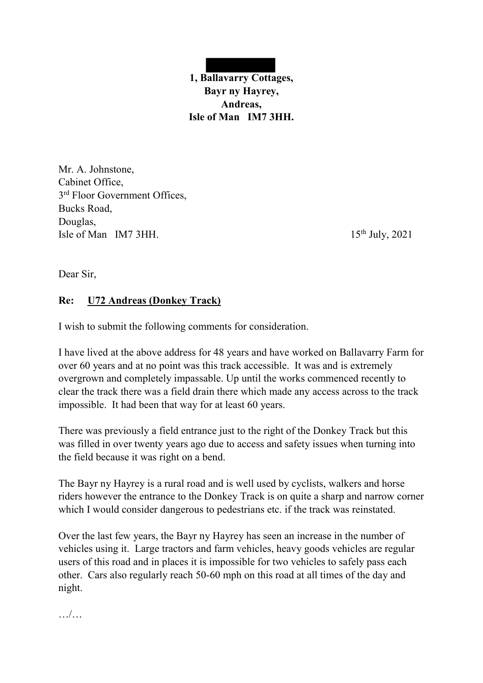

Mr. A. Johnstone, Cabinet Office, 3<sup>rd</sup> Floor Government Offices, Bucks Road, Douglas, Isle of Man IM7 3HH.  $15<sup>th</sup>$  July, 2021

Dear Sir,

## **Re: U72 Andreas (Donkey Track)**

I wish to submit the following comments for consideration.

I have lived at the above address for 48 years and have worked on Ballavarry Farm for over 60 years and at no point was this track accessible. It was and is extremely overgrown and completely impassable. Up until the works commenced recently to clear the track there was a field drain there which made any access across to the track impossible. It had been that way for at least 60 years.

There was previously a field entrance just to the right of the Donkey Track but this was filled in over twenty years ago due to access and safety issues when turning into the field because it was right on a bend.

The Bayr ny Hayrey is a rural road and is well used by cyclists, walkers and horse riders however the entrance to the Donkey Track is on quite a sharp and narrow corner which I would consider dangerous to pedestrians etc. if the track was reinstated.

Over the last few years, the Bayr ny Hayrey has seen an increase in the number of vehicles using it. Large tractors and farm vehicles, heavy goods vehicles are regular users of this road and in places it is impossible for two vehicles to safely pass each other. Cars also regularly reach 50-60 mph on this road at all times of the day and night.

…/…